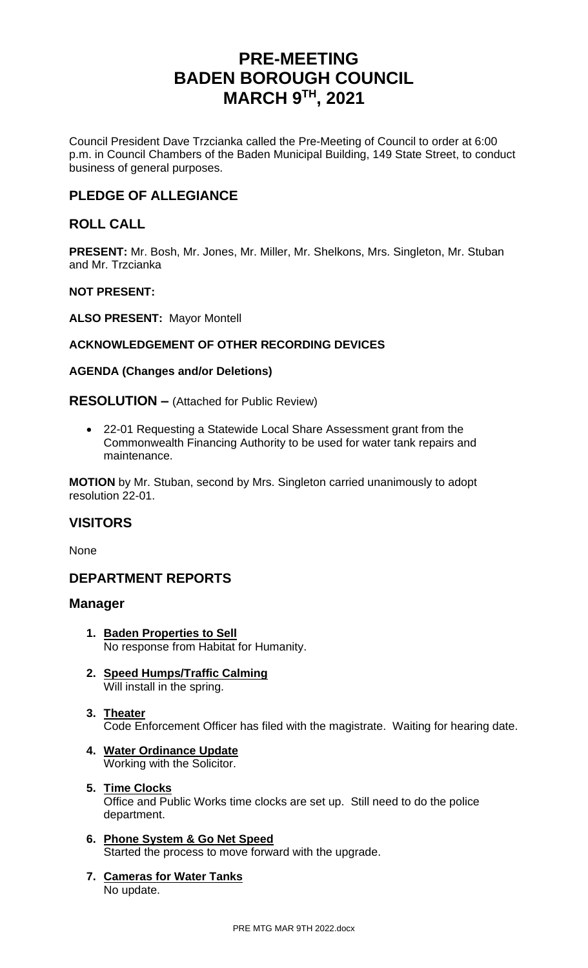# **PRE-MEETING BADEN BOROUGH COUNCIL MARCH 9 TH , 2021**

Council President Dave Trzcianka called the Pre-Meeting of Council to order at 6:00 p.m. in Council Chambers of the Baden Municipal Building, 149 State Street, to conduct business of general purposes.

# **PLEDGE OF ALLEGIANCE**

# **ROLL CALL**

**PRESENT:** Mr. Bosh, Mr. Jones, Mr. Miller, Mr. Shelkons, Mrs. Singleton, Mr. Stuban and Mr. Trzcianka

# **NOT PRESENT:**

**ALSO PRESENT:** Mayor Montell

# **ACKNOWLEDGEMENT OF OTHER RECORDING DEVICES**

# **AGENDA (Changes and/or Deletions)**

# **RESOLUTION –** (Attached for Public Review)

• 22-01 Requesting a Statewide Local Share Assessment grant from the Commonwealth Financing Authority to be used for water tank repairs and maintenance.

**MOTION** by Mr. Stuban, second by Mrs. Singleton carried unanimously to adopt resolution 22-01.

# **VISITORS**

None

# **DEPARTMENT REPORTS**

# **Manager**

- **1. Baden Properties to Sell** No response from Habitat for Humanity.
- **2. Speed Humps/Traffic Calming** Will install in the spring.
- **3. Theater** Code Enforcement Officer has filed with the magistrate. Waiting for hearing date.
- **4. Water Ordinance Update** Working with the Solicitor.
- **5. Time Clocks** Office and Public Works time clocks are set up. Still need to do the police department.
- **6. Phone System & Go Net Speed** Started the process to move forward with the upgrade.
- **7. Cameras for Water Tanks** No update.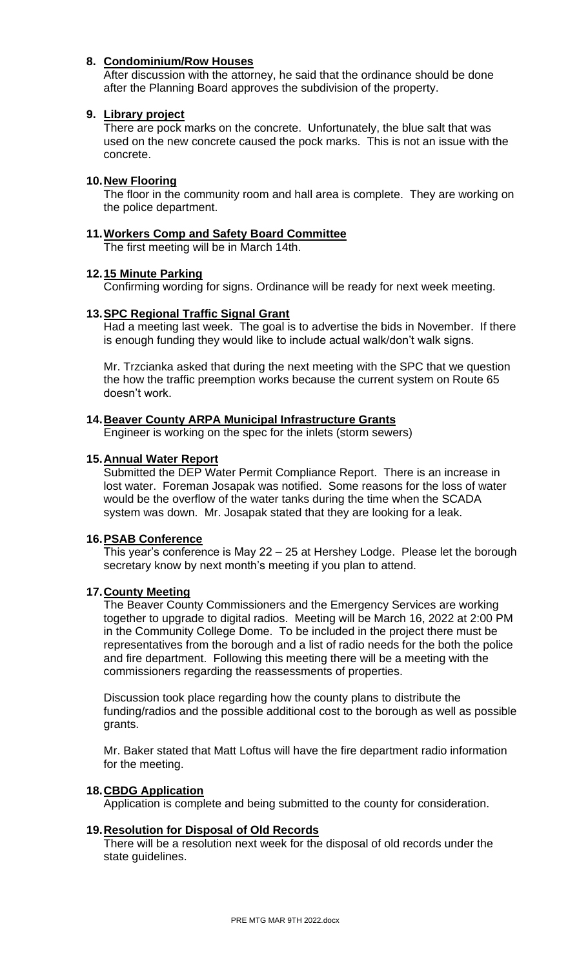# **8. Condominium/Row Houses**

After discussion with the attorney, he said that the ordinance should be done after the Planning Board approves the subdivision of the property.

#### **9. Library project**

There are pock marks on the concrete. Unfortunately, the blue salt that was used on the new concrete caused the pock marks. This is not an issue with the concrete.

# **10.New Flooring**

The floor in the community room and hall area is complete. They are working on the police department.

# **11.Workers Comp and Safety Board Committee**

The first meeting will be in March 14th.

# **12.15 Minute Parking**

Confirming wording for signs. Ordinance will be ready for next week meeting.

# **13.SPC Regional Traffic Signal Grant**

Had a meeting last week. The goal is to advertise the bids in November. If there is enough funding they would like to include actual walk/don't walk signs.

Mr. Trzcianka asked that during the next meeting with the SPC that we question the how the traffic preemption works because the current system on Route 65 doesn't work.

#### **14.Beaver County ARPA Municipal Infrastructure Grants**

Engineer is working on the spec for the inlets (storm sewers)

# **15.Annual Water Report**

Submitted the DEP Water Permit Compliance Report. There is an increase in lost water. Foreman Josapak was notified. Some reasons for the loss of water would be the overflow of the water tanks during the time when the SCADA system was down. Mr. Josapak stated that they are looking for a leak.

#### **16.PSAB Conference**

This year's conference is May 22 – 25 at Hershey Lodge. Please let the borough secretary know by next month's meeting if you plan to attend.

#### **17.County Meeting**

The Beaver County Commissioners and the Emergency Services are working together to upgrade to digital radios. Meeting will be March 16, 2022 at 2:00 PM in the Community College Dome. To be included in the project there must be representatives from the borough and a list of radio needs for the both the police and fire department. Following this meeting there will be a meeting with the commissioners regarding the reassessments of properties.

Discussion took place regarding how the county plans to distribute the funding/radios and the possible additional cost to the borough as well as possible grants.

Mr. Baker stated that Matt Loftus will have the fire department radio information for the meeting.

#### **18.CBDG Application**

Application is complete and being submitted to the county for consideration.

#### **19.Resolution for Disposal of Old Records**

There will be a resolution next week for the disposal of old records under the state guidelines.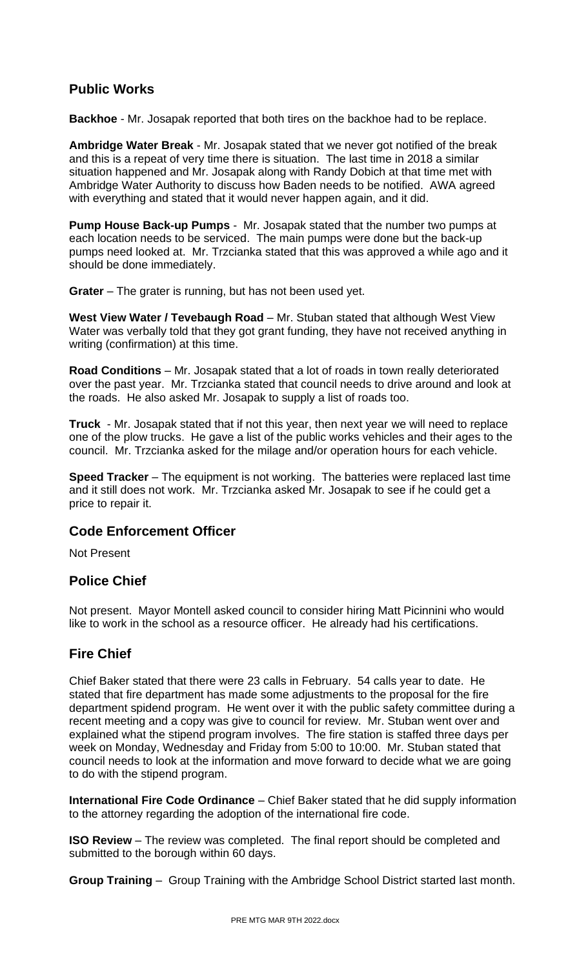# **Public Works**

**Backhoe** - Mr. Josapak reported that both tires on the backhoe had to be replace.

**Ambridge Water Break** - Mr. Josapak stated that we never got notified of the break and this is a repeat of very time there is situation. The last time in 2018 a similar situation happened and Mr. Josapak along with Randy Dobich at that time met with Ambridge Water Authority to discuss how Baden needs to be notified. AWA agreed with everything and stated that it would never happen again, and it did.

**Pump House Back-up Pumps** - Mr. Josapak stated that the number two pumps at each location needs to be serviced. The main pumps were done but the back-up pumps need looked at. Mr. Trzcianka stated that this was approved a while ago and it should be done immediately.

**Grater** – The grater is running, but has not been used yet.

West View Water / Tevebaugh Road - Mr. Stuban stated that although West View Water was verbally told that they got grant funding, they have not received anything in writing (confirmation) at this time.

**Road Conditions** – Mr. Josapak stated that a lot of roads in town really deteriorated over the past year. Mr. Trzcianka stated that council needs to drive around and look at the roads. He also asked Mr. Josapak to supply a list of roads too.

**Truck** - Mr. Josapak stated that if not this year, then next year we will need to replace one of the plow trucks. He gave a list of the public works vehicles and their ages to the council. Mr. Trzcianka asked for the milage and/or operation hours for each vehicle.

**Speed Tracker** – The equipment is not working. The batteries were replaced last time and it still does not work. Mr. Trzcianka asked Mr. Josapak to see if he could get a price to repair it.

# **Code Enforcement Officer**

Not Present

# **Police Chief**

Not present. Mayor Montell asked council to consider hiring Matt Picinnini who would like to work in the school as a resource officer. He already had his certifications.

# **Fire Chief**

Chief Baker stated that there were 23 calls in February. 54 calls year to date. He stated that fire department has made some adjustments to the proposal for the fire department spidend program. He went over it with the public safety committee during a recent meeting and a copy was give to council for review. Mr. Stuban went over and explained what the stipend program involves. The fire station is staffed three days per week on Monday, Wednesday and Friday from 5:00 to 10:00. Mr. Stuban stated that council needs to look at the information and move forward to decide what we are going to do with the stipend program.

**International Fire Code Ordinance** – Chief Baker stated that he did supply information to the attorney regarding the adoption of the international fire code.

**ISO Review** – The review was completed. The final report should be completed and submitted to the borough within 60 days.

**Group Training** – Group Training with the Ambridge School District started last month.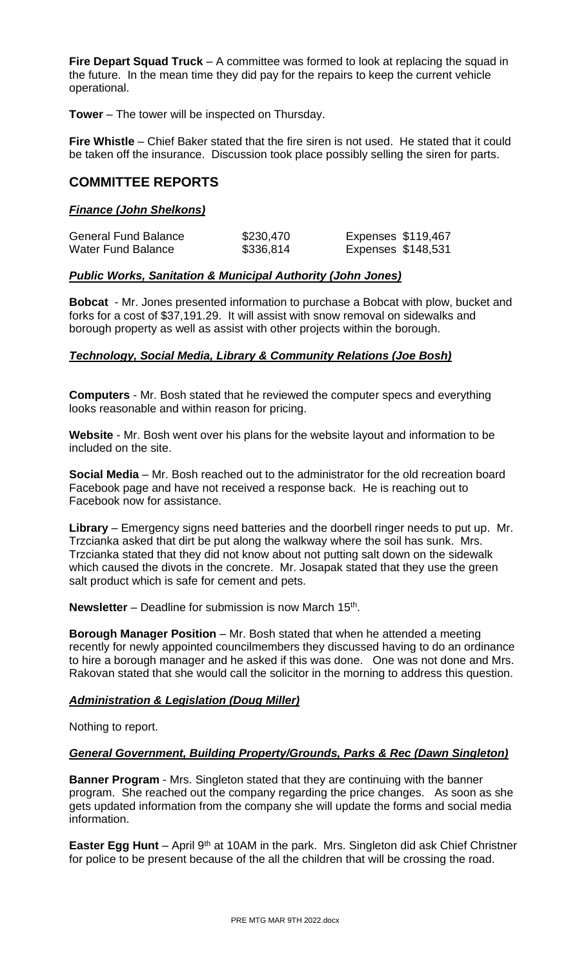**Fire Depart Squad Truck** – A committee was formed to look at replacing the squad in the future. In the mean time they did pay for the repairs to keep the current vehicle operational.

**Tower** – The tower will be inspected on Thursday.

**Fire Whistle** – Chief Baker stated that the fire siren is not used. He stated that it could be taken off the insurance. Discussion took place possibly selling the siren for parts.

# **COMMITTEE REPORTS**

# *Finance (John Shelkons)*

| <b>General Fund Balance</b> | \$230,470 | Expenses \$119,467 |
|-----------------------------|-----------|--------------------|
| <b>Water Fund Balance</b>   | \$336,814 | Expenses \$148,531 |

# *Public Works, Sanitation & Municipal Authority (John Jones)*

**Bobcat** - Mr. Jones presented information to purchase a Bobcat with plow, bucket and forks for a cost of \$37,191.29. It will assist with snow removal on sidewalks and borough property as well as assist with other projects within the borough.

# *Technology, Social Media, Library & Community Relations (Joe Bosh)*

**Computers** - Mr. Bosh stated that he reviewed the computer specs and everything looks reasonable and within reason for pricing.

**Website** - Mr. Bosh went over his plans for the website layout and information to be included on the site.

**Social Media** – Mr. Bosh reached out to the administrator for the old recreation board Facebook page and have not received a response back. He is reaching out to Facebook now for assistance.

**Library** – Emergency signs need batteries and the doorbell ringer needs to put up. Mr. Trzcianka asked that dirt be put along the walkway where the soil has sunk. Mrs. Trzcianka stated that they did not know about not putting salt down on the sidewalk which caused the divots in the concrete. Mr. Josapak stated that they use the green salt product which is safe for cement and pets.

Newsletter – Deadline for submission is now March 15<sup>th</sup>.

**Borough Manager Position** – Mr. Bosh stated that when he attended a meeting recently for newly appointed councilmembers they discussed having to do an ordinance to hire a borough manager and he asked if this was done. One was not done and Mrs. Rakovan stated that she would call the solicitor in the morning to address this question.

#### *Administration & Legislation (Doug Miller)*

Nothing to report.

#### *General Government, Building Property/Grounds, Parks & Rec (Dawn Singleton)*

**Banner Program** - Mrs. Singleton stated that they are continuing with the banner program. She reached out the company regarding the price changes. As soon as she gets updated information from the company she will update the forms and social media information.

**Easter Egg Hunt** – April 9<sup>th</sup> at 10AM in the park. Mrs. Singleton did ask Chief Christner for police to be present because of the all the children that will be crossing the road.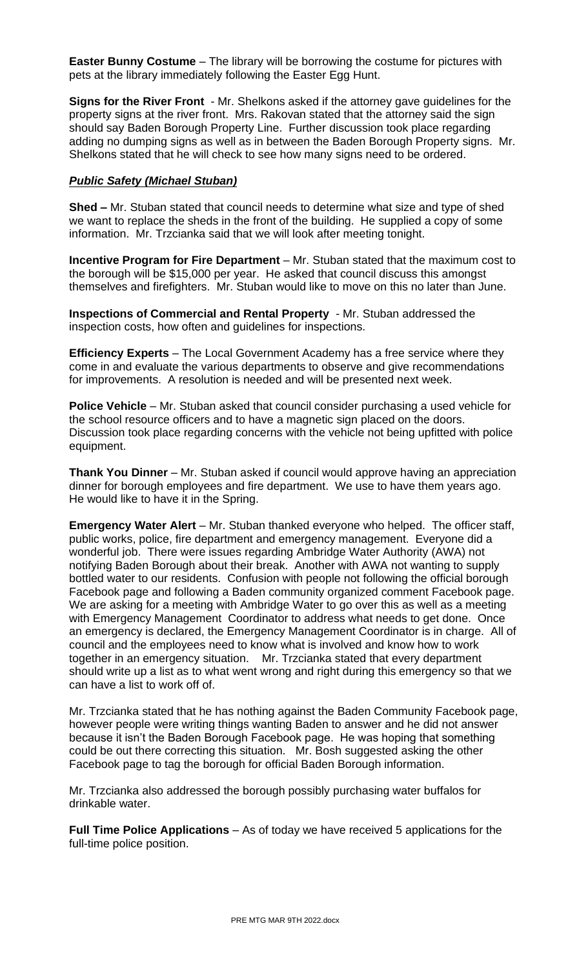**Easter Bunny Costume** – The library will be borrowing the costume for pictures with pets at the library immediately following the Easter Egg Hunt.

**Signs for the River Front** - Mr. Shelkons asked if the attorney gave guidelines for the property signs at the river front. Mrs. Rakovan stated that the attorney said the sign should say Baden Borough Property Line. Further discussion took place regarding adding no dumping signs as well as in between the Baden Borough Property signs. Mr. Shelkons stated that he will check to see how many signs need to be ordered.

# *Public Safety (Michael Stuban)*

**Shed –** Mr. Stuban stated that council needs to determine what size and type of shed we want to replace the sheds in the front of the building. He supplied a copy of some information. Mr. Trzcianka said that we will look after meeting tonight.

**Incentive Program for Fire Department** – Mr. Stuban stated that the maximum cost to the borough will be \$15,000 per year. He asked that council discuss this amongst themselves and firefighters. Mr. Stuban would like to move on this no later than June.

**Inspections of Commercial and Rental Property** - Mr. Stuban addressed the inspection costs, how often and guidelines for inspections.

**Efficiency Experts** – The Local Government Academy has a free service where they come in and evaluate the various departments to observe and give recommendations for improvements. A resolution is needed and will be presented next week.

**Police Vehicle** – Mr. Stuban asked that council consider purchasing a used vehicle for the school resource officers and to have a magnetic sign placed on the doors. Discussion took place regarding concerns with the vehicle not being upfitted with police equipment.

**Thank You Dinner** – Mr. Stuban asked if council would approve having an appreciation dinner for borough employees and fire department. We use to have them years ago. He would like to have it in the Spring.

**Emergency Water Alert** – Mr. Stuban thanked everyone who helped. The officer staff, public works, police, fire department and emergency management. Everyone did a wonderful job. There were issues regarding Ambridge Water Authority (AWA) not notifying Baden Borough about their break. Another with AWA not wanting to supply bottled water to our residents. Confusion with people not following the official borough Facebook page and following a Baden community organized comment Facebook page. We are asking for a meeting with Ambridge Water to go over this as well as a meeting with Emergency Management Coordinator to address what needs to get done. Once an emergency is declared, the Emergency Management Coordinator is in charge. All of council and the employees need to know what is involved and know how to work together in an emergency situation. Mr. Trzcianka stated that every department should write up a list as to what went wrong and right during this emergency so that we can have a list to work off of.

Mr. Trzcianka stated that he has nothing against the Baden Community Facebook page, however people were writing things wanting Baden to answer and he did not answer because it isn't the Baden Borough Facebook page. He was hoping that something could be out there correcting this situation. Mr. Bosh suggested asking the other Facebook page to tag the borough for official Baden Borough information.

Mr. Trzcianka also addressed the borough possibly purchasing water buffalos for drinkable water.

**Full Time Police Applications** – As of today we have received 5 applications for the full-time police position.